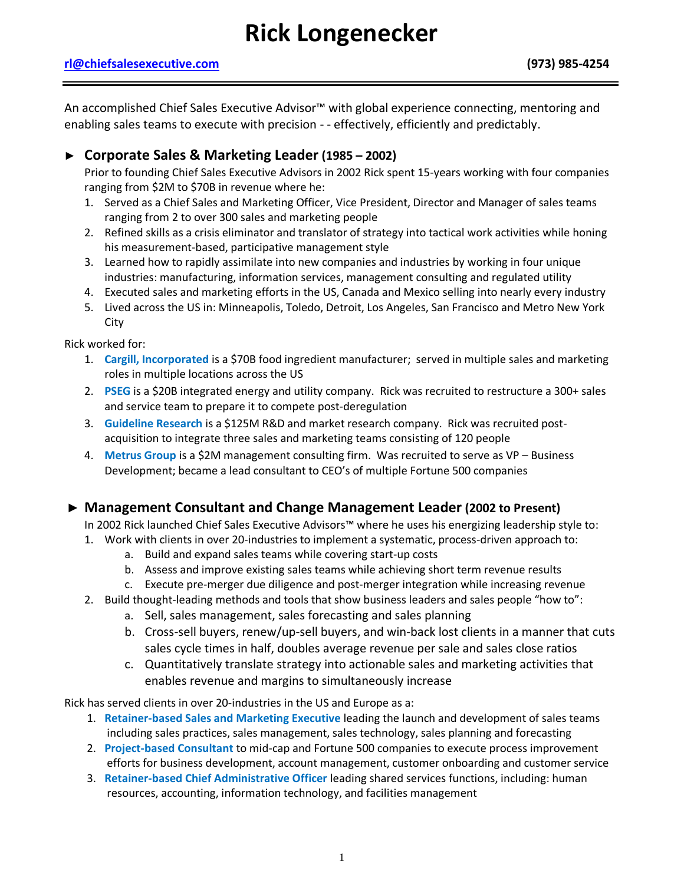# **Rick Longenecker**

#### **[rl@chiefsalesexecutive.com](mailto:rl@chiefsalesexecutive.com) (973) 985-4254**

An accomplished Chief Sales Executive Advisor™ with global experience connecting, mentoring and enabling sales teams to execute with precision - - effectively, efficiently and predictably.

# **► Corporate Sales & Marketing Leader (1985 – 2002)**

Prior to founding Chief Sales Executive Advisors in 2002 Rick spent 15-years working with four companies ranging from \$2M to \$70B in revenue where he:

- 1. Served as a Chief Sales and Marketing Officer, Vice President, Director and Manager of sales teams ranging from 2 to over 300 sales and marketing people
- 2. Refined skills as a crisis eliminator and translator of strategy into tactical work activities while honing his measurement-based, participative management style
- 3. Learned how to rapidly assimilate into new companies and industries by working in four unique industries: manufacturing, information services, management consulting and regulated utility
- 4. Executed sales and marketing efforts in the US, Canada and Mexico selling into nearly every industry
- 5. Lived across the US in: Minneapolis, Toledo, Detroit, Los Angeles, San Francisco and Metro New York City

Rick worked for:

- 1. **Cargill, Incorporated** is a \$70B food ingredient manufacturer; served in multiple sales and marketing roles in multiple locations across the US
- 2. **PSEG** is a \$20B integrated energy and utility company. Rick was recruited to restructure a 300+ sales and service team to prepare it to compete post-deregulation
- 3. **Guideline Research** is a \$125M R&D and market research company. Rick was recruited postacquisition to integrate three sales and marketing teams consisting of 120 people
- 4. **Metrus Group** is a \$2M management consulting firm. Was recruited to serve as VP Business Development; became a lead consultant to CEO's of multiple Fortune 500 companies

# ► **Management Consultant and Change Management Leader (2002 to Present)**

In 2002 Rick launched Chief Sales Executive Advisors™ where he uses his energizing leadership style to:

- 1. Work with clients in over 20-industries to implement a systematic, process-driven approach to:
	- a. Build and expand sales teams while covering start-up costs
	- b. Assess and improve existing sales teams while achieving short term revenue results
	- c. Execute pre-merger due diligence and post-merger integration while increasing revenue
- 2. Build thought-leading methods and tools that show business leaders and sales people "how to":
	- a. Sell, sales management, sales forecasting and sales planning
	- b. Cross-sell buyers, renew/up-sell buyers, and win-back lost clients in a manner that cuts sales cycle times in half, doubles average revenue per sale and sales close ratios
	- c. Quantitatively translate strategy into actionable sales and marketing activities that enables revenue and margins to simultaneously increase

Rick has served clients in over 20-industries in the US and Europe as a:

- 1. **Retainer-based Sales and Marketing Executive** leading the launch and development of sales teams including sales practices, sales management, sales technology, sales planning and forecasting
- 2. **Project-based Consultant** to mid-cap and Fortune 500 companies to execute process improvement efforts for business development, account management, customer onboarding and customer service
- 3. **Retainer-based Chief Administrative Officer** leading shared services functions, including: human resources, accounting, information technology, and facilities management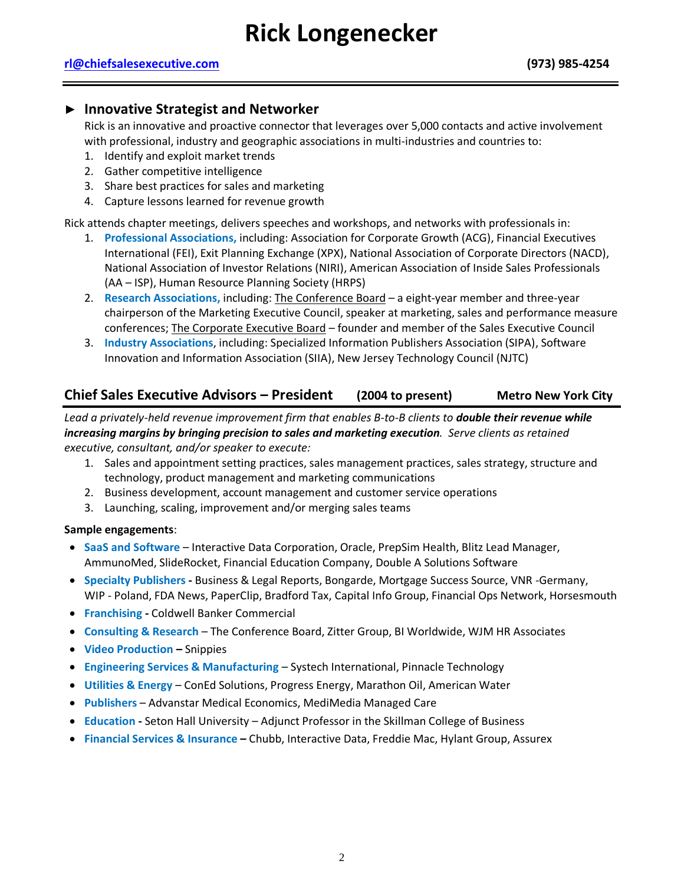# ► **Innovative Strategist and Networker**

Rick is an innovative and proactive connector that leverages over 5,000 contacts and active involvement with professional, industry and geographic associations in multi-industries and countries to:

- 1. Identify and exploit market trends
- 2. Gather competitive intelligence
- 3. Share best practices for sales and marketing
- 4. Capture lessons learned for revenue growth

Rick attends chapter meetings, delivers speeches and workshops, and networks with professionals in:

- 1. **Professional Associations,** including: Association for Corporate Growth (ACG), Financial Executives International (FEI), Exit Planning Exchange (XPX), National Association of Corporate Directors (NACD), National Association of Investor Relations (NIRI), American Association of Inside Sales Professionals (AA – ISP), Human Resource Planning Society (HRPS)
- 2. **Research Associations,** including: The Conference Board a eight-year member and three-year chairperson of the Marketing Executive Council, speaker at marketing, sales and performance measure conferences; The Corporate Executive Board – founder and member of the Sales Executive Council
- 3. **Industry Associations**, including: Specialized Information Publishers Association (SIPA), Software Innovation and Information Association (SIIA), New Jersey Technology Council (NJTC)

# **Chief Sales Executive Advisors – President (2004 to present) Metro New York City**

*Lead a privately-held revenue improvement firm that enables B-to-B clients to double their revenue while increasing margins by bringing precision to sales and marketing execution. Serve clients as retained executive, consultant, and/or speaker to execute:*

- 1. Sales and appointment setting practices, sales management practices, sales strategy, structure and technology, product management and marketing communications
- 2. Business development, account management and customer service operations
- 3. Launching, scaling, improvement and/or merging sales teams

#### **Sample engagements**:

- **SaaS and Software** Interactive Data Corporation, Oracle, PrepSim Health, Blitz Lead Manager, AmmunoMed, SlideRocket, Financial Education Company, Double A Solutions Software
- **Specialty Publishers -** Business & Legal Reports, Bongarde, Mortgage Success Source, VNR -Germany, WIP - Poland, FDA News, PaperClip, Bradford Tax, Capital Info Group, Financial Ops Network, Horsesmouth
- **Franchising -** Coldwell Banker Commercial
- **Consulting & Research** The Conference Board, Zitter Group, BI Worldwide, WJM HR Associates
- **Video Production –** Snippies
- **Engineering Services & Manufacturing** Systech International, Pinnacle Technology
- **Utilities & Energy** ConEd Solutions, Progress Energy, Marathon Oil, American Water
- **Publishers** Advanstar Medical Economics, MediMedia Managed Care
- **Education -** Seton Hall University Adjunct Professor in the Skillman College of Business
- **Financial Services & Insurance –** Chubb, Interactive Data, Freddie Mac, Hylant Group, Assurex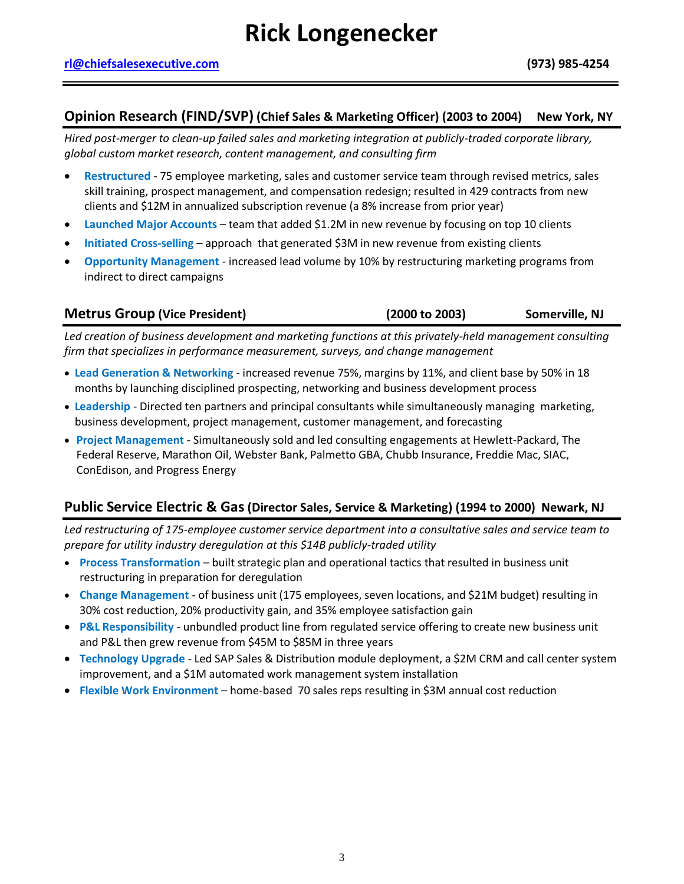### **Opinion Research (FIND/SVP) (Chief Sales & Marketing Officer) (2003 to 2004) New York, NY**

*Hired post-merger to clean-up failed sales and marketing integration at publicly-traded corporate library, global custom market research, content management, and consulting firm*

- **Restructured** 75 employee marketing, sales and customer service team through revised metrics, sales skill training, prospect management, and compensation redesign; resulted in 429 contracts from new clients and \$12M in annualized subscription revenue (a 8% increase from prior year)
- **Launched Major Accounts** team that added \$1.2M in new revenue by focusing on top 10 clients
- **Initiated Cross-selling** approach that generated \$3M in new revenue from existing clients
- **Opportunity Management** increased lead volume by 10% by restructuring marketing programs from indirect to direct campaigns

| <b>Metrus Group (Vice President)</b> | (2000 to 2003) | Somerville, NJ |
|--------------------------------------|----------------|----------------|
|--------------------------------------|----------------|----------------|

*Led creation of business development and marketing functions at this privately-held management consulting firm that specializes in performance measurement, surveys, and change management* 

- **Lead Generation & Networking** increased revenue 75%, margins by 11%, and client base by 50% in 18 months by launching disciplined prospecting, networking and business development process
- **Leadership** Directed ten partners and principal consultants while simultaneously managing marketing, business development, project management, customer management, and forecasting
- **Project Management** Simultaneously sold and led consulting engagements at Hewlett-Packard, The Federal Reserve, Marathon Oil, Webster Bank, Palmetto GBA, Chubb Insurance, Freddie Mac, SIAC, ConEdison, and Progress Energy

# **Public Service Electric & Gas(Director Sales, Service & Marketing) (1994 to 2000) Newark, NJ**

*Led restructuring of 175-employee customer service department into a consultative sales and service team to prepare for utility industry deregulation at this \$14B publicly-traded utility*

- **Process Transformation** built strategic plan and operational tactics that resulted in business unit restructuring in preparation for deregulation
- **Change Management** of business unit (175 employees, seven locations, and \$21M budget) resulting in 30% cost reduction, 20% productivity gain, and 35% employee satisfaction gain
- **P&L Responsibility** unbundled product line from regulated service offering to create new business unit and P&L then grew revenue from \$45M to \$85M in three years
- **Technology Upgrade** Led SAP Sales & Distribution module deployment, a \$2M CRM and call center system improvement, and a \$1M automated work management system installation
- **Flexible Work Environment** home-based 70 sales reps resulting in \$3M annual cost reduction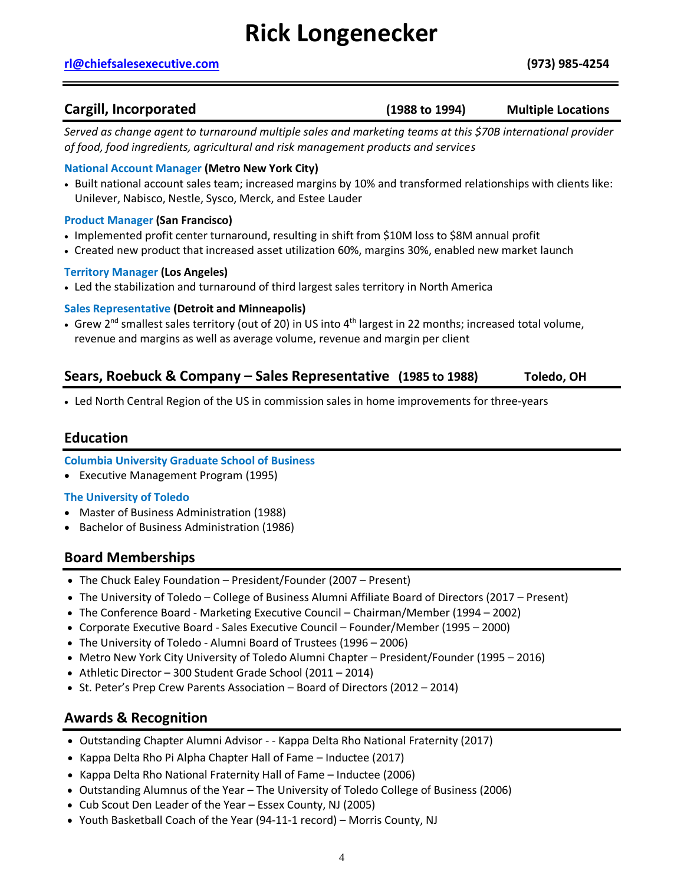# **Rick Longenecker**

#### **[rl@chiefsalesexecutive.com](mailto:rl@chiefsalesexecutive.com) (973) 985-4254**

**Cargill, Incorporated** (1988 to 1994) Multiple Locations

*Served as change agent to turnaround multiple sales and marketing teams at this \$70B international provider of food, food ingredients, agricultural and risk management products and services*

#### **National Account Manager (Metro New York City)**

- Built national account sales team; increased margins by 10% and transformed relationships with clients like: Unilever, Nabisco, Nestle, Sysco, Merck, and Estee Lauder
- **Product Manager (San Francisco)**
- Implemented profit center turnaround, resulting in shift from \$10M loss to \$8M annual profit
- Created new product that increased asset utilization 60%, margins 30%, enabled new market launch

#### **Territory Manager (Los Angeles)**

• Led the stabilization and turnaround of third largest sales territory in North America

#### **Sales Representative (Detroit and Minneapolis)**

• Grew 2<sup>nd</sup> smallest sales territory (out of 20) in US into 4<sup>th</sup> largest in 22 months; increased total volume, revenue and margins as well as average volume, revenue and margin per client

# **Sears, Roebuck & Company – Sales Representative (1985 to 1988) Toledo, OH**

• Led North Central Region of the US in commission sales in home improvements for three-years

### **Education**

#### **Columbia University Graduate School of Business**

• Executive Management Program (1995)

#### **The University of Toledo**

- Master of Business Administration (1988)
- Bachelor of Business Administration (1986)

# **Board Memberships**

- The Chuck Ealey Foundation President/Founder (2007 Present)
- The University of Toledo College of Business Alumni Affiliate Board of Directors (2017 Present)
- The Conference Board Marketing Executive Council Chairman/Member (1994 2002)
- Corporate Executive Board Sales Executive Council Founder/Member (1995 2000)
- The University of Toledo Alumni Board of Trustees (1996 2006)
- Metro New York City University of Toledo Alumni Chapter President/Founder (1995 2016)
- Athletic Director 300 Student Grade School (2011 2014)
- St. Peter's Prep Crew Parents Association Board of Directors (2012 2014)

# **Awards & Recognition**

- Outstanding Chapter Alumni Advisor - Kappa Delta Rho National Fraternity (2017)
- Kappa Delta Rho Pi Alpha Chapter Hall of Fame Inductee (2017)
- Kappa Delta Rho National Fraternity Hall of Fame Inductee (2006)
- Outstanding Alumnus of the Year The University of Toledo College of Business (2006)
- Cub Scout Den Leader of the Year Essex County, NJ (2005)
- Youth Basketball Coach of the Year (94-11-1 record) Morris County, NJ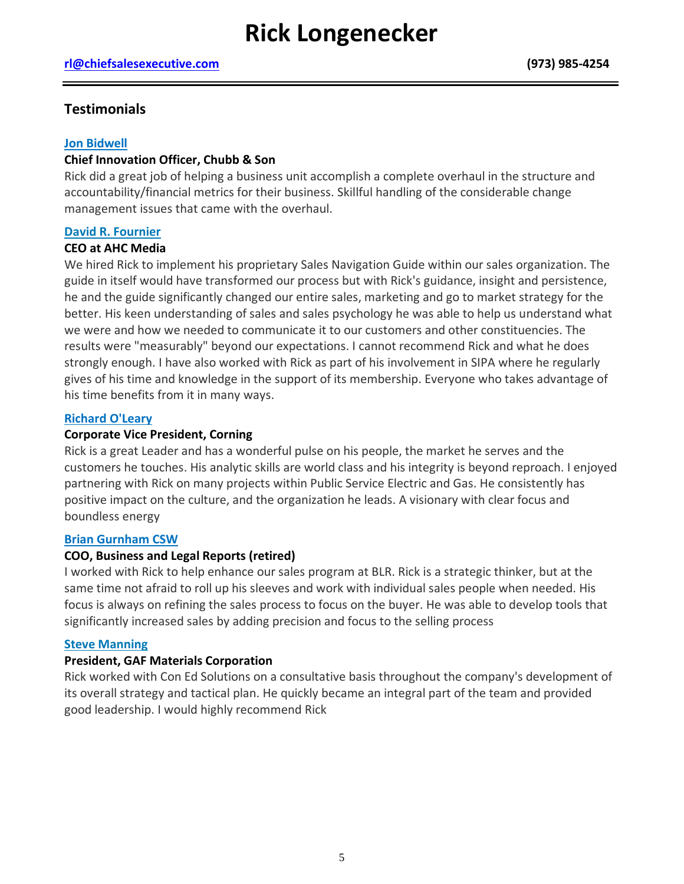# **Testimonials**

#### **Jon Bidwell**

#### **Chief Innovation Officer, Chubb & Son**

Rick did a great job of helping a business unit accomplish a complete overhaul in the structure and accountability/financial metrics for their business. Skillful handling of the considerable change management issues that came with the overhaul.

#### **David R. Fournier**

#### **CEO at AHC Media**

We hired Rick to implement his proprietary Sales Navigation Guide within our sales organization. The guide in itself would have transformed our process but with Rick's guidance, insight and persistence, he and the guide significantly changed our entire sales, marketing and go to market strategy for the better. His keen understanding of sales and sales psychology he was able to help us understand what we were and how we needed to communicate it to our customers and other constituencies. The results were "measurably" beyond our expectations. I cannot recommend Rick and what he does strongly enough. I have also worked with Rick as part of his involvement in SIPA where he regularly gives of his time and knowledge in the support of its membership. Everyone who takes advantage of his time benefits from it in many ways.

#### **Richard O'Leary**

#### **Corporate Vice President, Corning**

Rick is a great Leader and has a wonderful pulse on his people, the market he serves and the customers he touches. His analytic skills are world class and his integrity is beyond reproach. I enjoyed partnering with Rick on many projects within Public Service Electric and Gas. He consistently has positive impact on the culture, and the organization he leads. A visionary with clear focus and boundless energy

#### **Brian Gurnham CSW**

#### **COO, Business and Legal Reports (retired)**

I worked with Rick to help enhance our sales program at BLR. Rick is a strategic thinker, but at the same time not afraid to roll up his sleeves and work with individual sales people when needed. His focus is always on refining the sales process to focus on the buyer. He was able to develop tools that significantly increased sales by adding precision and focus to the selling process

#### **Steve Manning**

#### **President, GAF Materials Corporation**

Rick worked with Con Ed Solutions on a consultative basis throughout the company's development of its overall strategy and tactical plan. He quickly became an integral part of the team and provided good leadership. I would highly recommend Rick